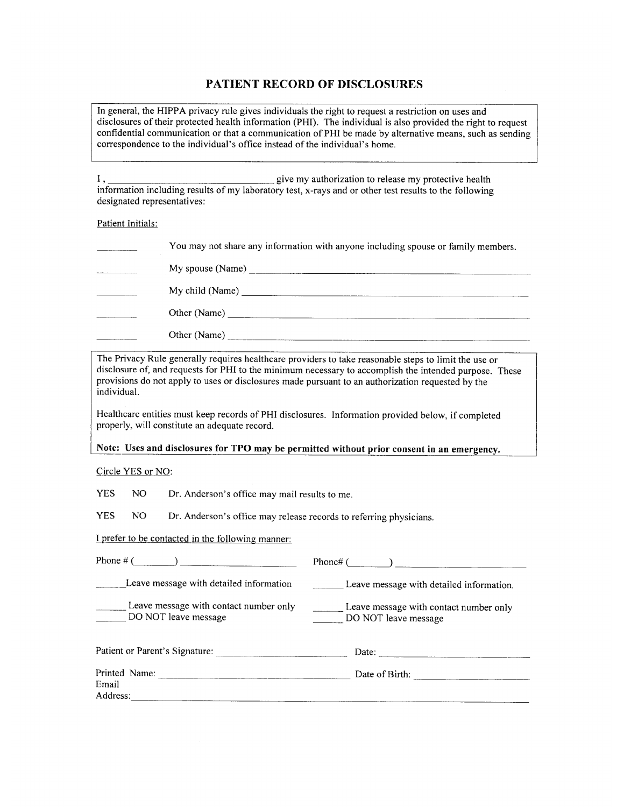## PATIENT RECORD OF DISCLOSURES

In general, the HIPPA privacy rule gives individuals the right to request a restriction on uses and disclosures of their protected health information (PHI). The individual is also provided the right to request confidential communication or that a communication of PHI be made by alternative means, such as sending correspondence to the individual's office instead of the individual's home.

Ι, give my authorization to release my protective health information including results of my laboratory test, x-rays and or other test results to the following designated representatives:

### Patient Initials:

| You may not share any information with anyone including spouse or family members.                                                                                                                                                                                                                                                                                                                    |
|------------------------------------------------------------------------------------------------------------------------------------------------------------------------------------------------------------------------------------------------------------------------------------------------------------------------------------------------------------------------------------------------------|
|                                                                                                                                                                                                                                                                                                                                                                                                      |
| My child (Name) $\frac{1}{\sqrt{1-\frac{1}{2}}\sqrt{1-\frac{1}{2}}\sqrt{1-\frac{1}{2}}\sqrt{1-\frac{1}{2}}\sqrt{1-\frac{1}{2}}\sqrt{1-\frac{1}{2}}\sqrt{1-\frac{1}{2}}\sqrt{1-\frac{1}{2}}\sqrt{1-\frac{1}{2}}\sqrt{1-\frac{1}{2}}\sqrt{1-\frac{1}{2}}\sqrt{1-\frac{1}{2}}\sqrt{1-\frac{1}{2}}\sqrt{1-\frac{1}{2}}\sqrt{1-\frac{1}{2}}\sqrt{1-\frac{1}{2}}\sqrt{1-\frac{1}{2}}\sqrt{1-\frac{1}{2}}\$ |
|                                                                                                                                                                                                                                                                                                                                                                                                      |
|                                                                                                                                                                                                                                                                                                                                                                                                      |

The Privacy Rule generally requires healthcare providers to take reasonable steps to limit the use or disclosure of, and requests for PHI to the minimum necessary to accomplish the intended purpose. These provisions do not apply to uses or disclosures made pursuant to an authorization requested by the individual.

Healthcare entities must keep records of PHI disclosures. Information provided below, if completed properly, will constitute an adequate record.

### Note: Uses and disclosures for TPO may be permitted without prior consent in an emergency.

Circle YES or NO:

**YES** NO Dr. Anderson's office may mail results to me.

**YES** NO Dr. Anderson's office may release records to referring physicians.

### I prefer to be contacted in the following manner:

| Phone $#$ (<br>) and the set of the set of the set of the set of the set of the set of the set of the set of the set of the set of the set of the set of the set of the set of the set of the set of the set of the set of the set of the se | Phone# (                                                       |
|----------------------------------------------------------------------------------------------------------------------------------------------------------------------------------------------------------------------------------------------|----------------------------------------------------------------|
| Leave message with detailed information                                                                                                                                                                                                      | Leave message with detailed information.                       |
| Leave message with contact number only<br>DO NOT leave message                                                                                                                                                                               | Leave message with contact number only<br>DO NOT leave message |
| Patient or Parent's Signature:                                                                                                                                                                                                               | Date:                                                          |
| Printed Name:<br>Email<br>Address:                                                                                                                                                                                                           |                                                                |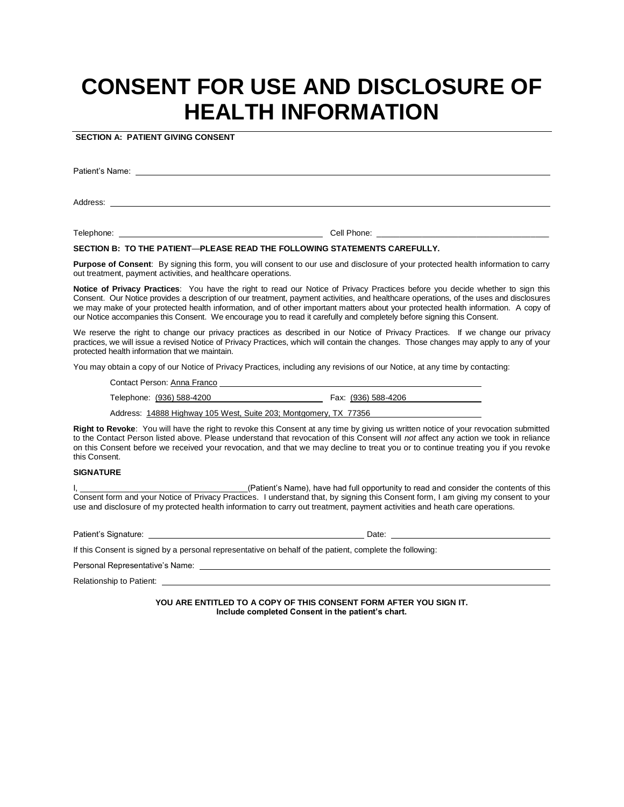# **CONSENT FOR USE AND DISCLOSURE OF HEALTH INFORMATION**

**SECTION A: PATIENT GIVING CONSENT**

Patient's Name:

Address:

Telephone: Cell Phone: \_\_\_\_\_\_\_\_\_\_\_\_\_\_\_\_\_\_\_\_\_\_\_\_\_\_\_\_\_\_\_\_\_\_\_\_\_\_

### **SECTION B: TO THE PATIENT**—**PLEASE READ THE FOLLOWING STATEMENTS CAREFULLY.**

**Purpose of Consent**: By signing this form, you will consent to our use and disclosure of your protected health information to carry out treatment, payment activities, and healthcare operations.

**Notice of Privacy Practices**: You have the right to read our Notice of Privacy Practices before you decide whether to sign this Consent. Our Notice provides a description of our treatment, payment activities, and healthcare operations, of the uses and disclosures we may make of your protected health information, and of other important matters about your protected health information. A copy of our Notice accompanies this Consent. We encourage you to read it carefully and completely before signing this Consent.

We reserve the right to change our privacy practices as described in our Notice of Privacy Practices. If we change our privacy practices, we will issue a revised Notice of Privacy Practices, which will contain the changes. Those changes may apply to any of your protected health information that we maintain.

You may obtain a copy of our Notice of Privacy Practices, including any revisions of our Notice, at any time by contacting:

Contact Person: Anna Franco

Telephone: (936) 588-4200 Fax: (936) 588-4206

Address: 14888 Highway 105 West, Suite 203; Montgomery, TX 77356

**Right to Revoke**: You will have the right to revoke this Consent at any time by giving us written notice of your revocation submitted to the Contact Person listed above. Please understand that revocation of this Consent will *not* affect any action we took in reliance on this Consent before we received your revocation, and that we may decline to treat you or to continue treating you if you revoke this Consent.

#### **SIGNATURE**

L(Patient's Name), have had full opportunity to read and consider the contents of this Consent form and your Notice of Privacy Practices. I understand that, by signing this Consent form, I am giving my consent to your use and disclosure of my protected health information to carry out treatment, payment activities and heath care operations.

Patient's Signature: Date:

If this Consent is signed by a personal representative on behalf of the patient, complete the following:

Personal Representative's Name: \_

Relationship to Patient:

**YOU ARE ENTITLED TO A COPY OF THIS CONSENT FORM AFTER YOU SIGN IT. Include completed Consent in the patient's chart.**